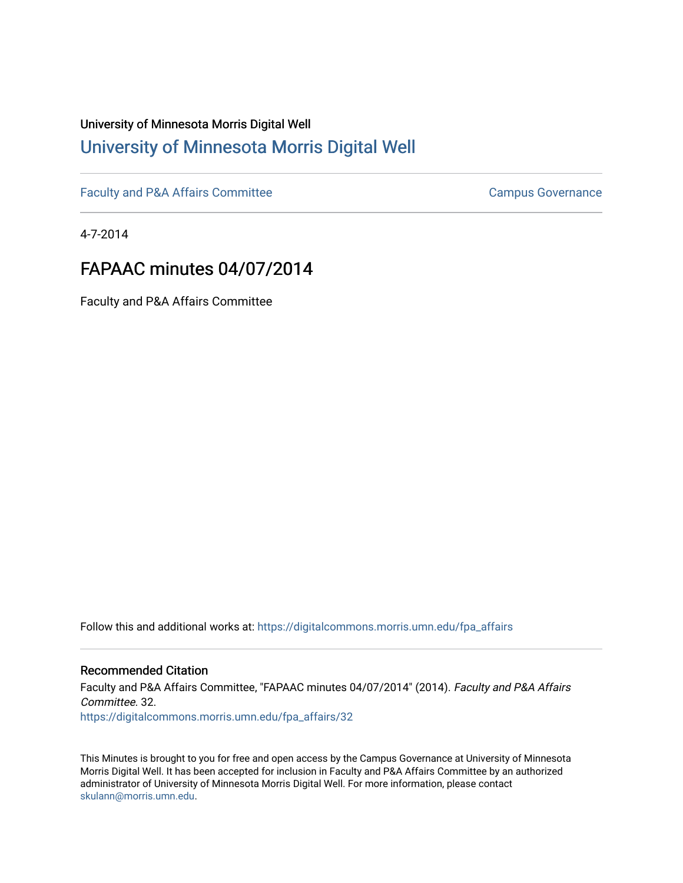## University of Minnesota Morris Digital Well [University of Minnesota Morris Digital Well](https://digitalcommons.morris.umn.edu/)

[Faculty and P&A Affairs Committee](https://digitalcommons.morris.umn.edu/fpa_affairs) [Campus Governance](https://digitalcommons.morris.umn.edu/campgov) Campus Governance

4-7-2014

## FAPAAC minutes 04/07/2014

Faculty and P&A Affairs Committee

Follow this and additional works at: [https://digitalcommons.morris.umn.edu/fpa\\_affairs](https://digitalcommons.morris.umn.edu/fpa_affairs?utm_source=digitalcommons.morris.umn.edu%2Ffpa_affairs%2F32&utm_medium=PDF&utm_campaign=PDFCoverPages)

## Recommended Citation

Faculty and P&A Affairs Committee, "FAPAAC minutes 04/07/2014" (2014). Faculty and P&A Affairs Committee. 32. [https://digitalcommons.morris.umn.edu/fpa\\_affairs/32](https://digitalcommons.morris.umn.edu/fpa_affairs/32?utm_source=digitalcommons.morris.umn.edu%2Ffpa_affairs%2F32&utm_medium=PDF&utm_campaign=PDFCoverPages) 

This Minutes is brought to you for free and open access by the Campus Governance at University of Minnesota Morris Digital Well. It has been accepted for inclusion in Faculty and P&A Affairs Committee by an authorized administrator of University of Minnesota Morris Digital Well. For more information, please contact [skulann@morris.umn.edu.](mailto:skulann@morris.umn.edu)